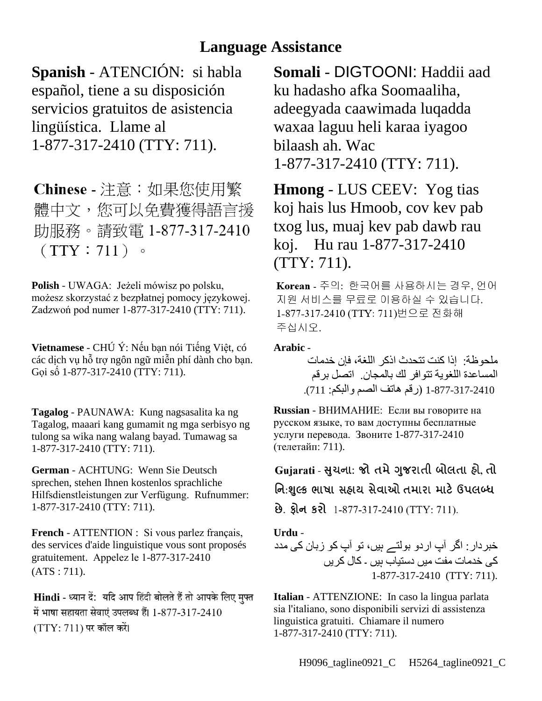## **Language Assistance**

**Spanish** - ATENCIÓN: si habla español, tiene a su disposición servicios gratuitos de asistencia lingüística. Llame al 1-877-317-2410 (TTY: 711).

Chinese - 注意:如果您使用繁 體中文,您可以免費獲得語言援 助服務。請致電 1-877-317-2410  $(TTY: 711)$  .

**Polish** - UWAGA: Jeżeli mówisz po polsku, możesz skorzystać z bezpłatnej pomocy językowej. Zadzwoń pod numer 1-877-317-2410 (TTY: 711).

**Vietnamese** - CHÚ Ý: Nếu bạn nói Tiếng Việt, có các dịch vụ hỗ trợ ngôn ngữ miễn phí dành cho bạn. Gọi số 1-877-317-2410 (TTY: 711).

**Tagalog** - PAUNAWA: Kung nagsasalita ka ng Tagalog, maaari kang gumamit ng mga serbisyo ng tulong sa wika nang walang bayad. Tumawag sa 1-877-317-2410 (TTY: 711).

**German** - ACHTUNG: Wenn Sie Deutsch sprechen, stehen Ihnen kostenlos sprachliche Hilfsdienstleistungen zur Verfügung. Rufnummer: 1-877-317-2410 (TTY: 711).

**French** - ATTENTION : Si vous parlez français, des services d'aide linguistique vous sont proposés gratuitement. Appelez le 1-877-317-2410 (ATS : 711).

Hindi - ध्यान दें: यदि आप हिंदी बोलते हैं तो आपके लिए मुफ्त में भाषा सहायता सेवाएं उपलब्ध हैं। 1-877-317-2410  $(TTY: 711)$  पर कॉल करें।

**Somali** - DIGTOONI: Haddii aad ku hadasho afka Soomaaliha, adeegyada caawimada luqadda waxaa laguu heli karaa iyagoo bilaash ah. Wac 1-877-317-2410 (TTY: 711).

**Hmong** - LUS CEEV: Yog tias koj hais lus Hmoob, cov kev pab txog lus, muaj kev pab dawb rau koj. Hu rau 1-877-317-2410 (TTY: 711).

Korean - 주의: 한국어를 사용하시는 경우, 언어 지원 서비스를 무료로 이용하실 수 있습니다. 1-877-317-2410 (TTY: 711)번으로 전화해 주십시오.

**Arabic** -

ملحوظة: إذا كنت تتحدث اذكر اللغة، فإن خدمات المساعدة اللغویة تتوافر لك بالمجان. اتصل برقم 1-877-317-2410 (رقم ھاتف الصم والبكم: 711).

**Russian** - ВНИМАНИЕ: Если вы говорите на русском языке, то вам доступны бесплатные услуги перевода. Звоните 1-877-317-2410 (телетайп: 711).

Gujarati - સુચના: જો તમે ગુજરાતી બોલતા હો, તો નિ:શુલ્ક ભાષા સહાય સેવાઓ તમારા માટે ઉપલબ્ધ છે. ફ્રોન કરો 1-877-317-2410 (TTY: 711).

**Urdu** -

خبردار: اگر آپ اردو بولتے ہیں، تو آپ کو زبان کی مدد کی خدمات مفت میں دستیاب ہیں ۔ کال کریں 1-877-317-2410 (TTY: 711).

**Italian** - ATTENZIONE: In caso la lingua parlata sia l'italiano, sono disponibili servizi di assistenza linguistica gratuiti. Chiamare il numero 1-877-317-2410 (TTY: 711).

H9096\_tagline0921\_C H5264\_tagline0921\_C